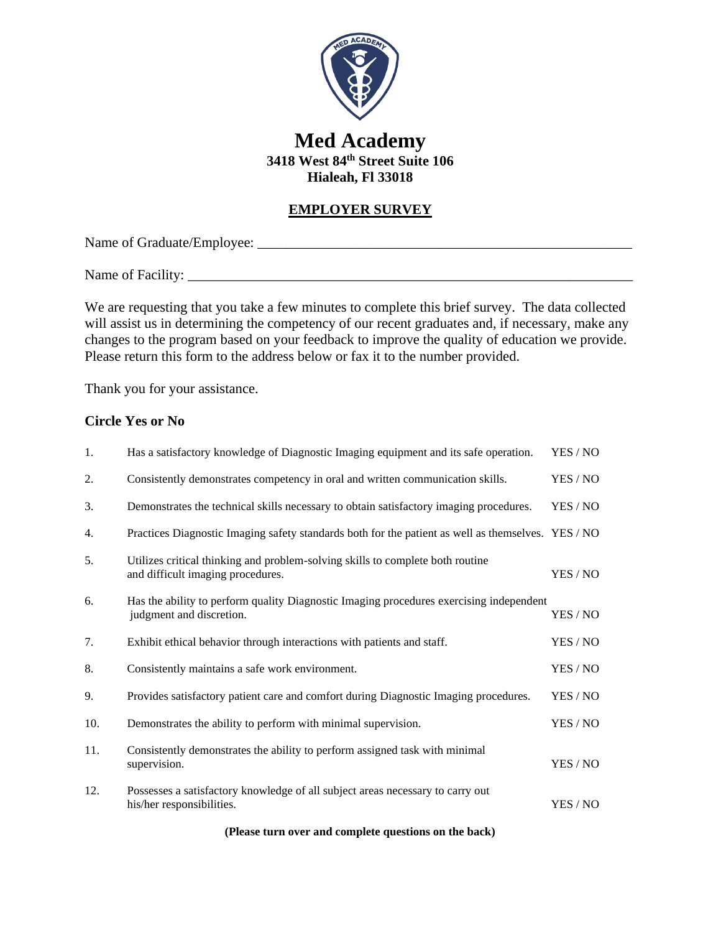

# **Med Academy 3418 West 84th Street Suite 106 Hialeah, Fl 33018**

### **EMPLOYER SURVEY**

Name of Graduate/Employee: \_\_\_\_\_\_\_\_\_\_\_\_\_\_\_\_\_\_\_\_\_\_\_\_\_\_\_\_\_\_\_\_\_\_\_\_\_\_\_\_\_\_\_\_\_\_\_\_\_\_\_\_\_

Name of Facility:

We are requesting that you take a few minutes to complete this brief survey. The data collected will assist us in determining the competency of our recent graduates and, if necessary, make any changes to the program based on your feedback to improve the quality of education we provide. Please return this form to the address below or fax it to the number provided.

Thank you for your assistance.

#### **Circle Yes or No**

| 1.  | Has a satisfactory knowledge of Diagnostic Imaging equipment and its safe operation.                                | YES / NO |
|-----|---------------------------------------------------------------------------------------------------------------------|----------|
| 2.  | Consistently demonstrates competency in oral and written communication skills.                                      | YES / NO |
| 3.  | Demonstrates the technical skills necessary to obtain satisfactory imaging procedures.                              | YES / NO |
| 4.  | Practices Diagnostic Imaging safety standards both for the patient as well as themselves. YES / NO                  |          |
| 5.  | Utilizes critical thinking and problem-solving skills to complete both routine<br>and difficult imaging procedures. | YES / NO |
| 6.  | Has the ability to perform quality Diagnostic Imaging procedures exercising independent<br>judgment and discretion. | YES / NO |
| 7.  | Exhibit ethical behavior through interactions with patients and staff.                                              | YES / NO |
| 8.  | Consistently maintains a safe work environment.                                                                     | YES / NO |
| 9.  | Provides satisfactory patient care and comfort during Diagnostic Imaging procedures.                                | YES / NO |
| 10. | Demonstrates the ability to perform with minimal supervision.                                                       | YES / NO |
| 11. | Consistently demonstrates the ability to perform assigned task with minimal<br>supervision.                         | YES / NO |
| 12. | Possesses a satisfactory knowledge of all subject areas necessary to carry out<br>his/her responsibilities.         | YES / NO |

**(Please turn over and complete questions on the back)**